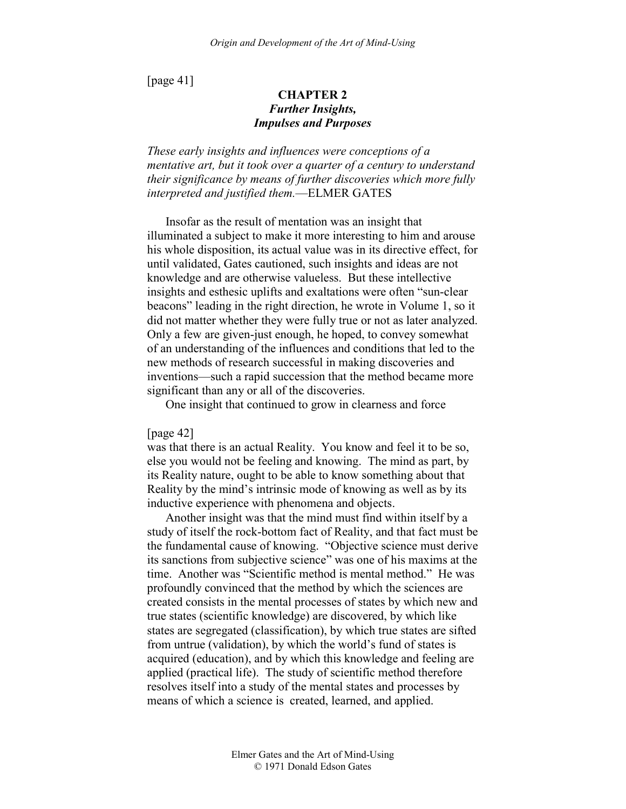[page 41]

# **CHAPTER 2**  *Further Insights, Impulses and Purposes*

*These early insights and influences were conceptions of a mentative art, but it took over a quarter of a century to understand their significance by means of further discoveries which more fully interpreted and justified them.*—ELMER GATES

Insofar as the result of mentation was an insight that illuminated a subject to make it more interesting to him and arouse his whole disposition, its actual value was in its directive effect, for until validated, Gates cautioned, such insights and ideas are not knowledge and are otherwise valueless. But these intellective insights and esthesic uplifts and exaltations were often "sun-clear beacons" leading in the right direction, he wrote in Volume 1, so it did not matter whether they were fully true or not as later analyzed. Only a few are given-just enough, he hoped, to convey somewhat of an understanding of the influences and conditions that led to the new methods of research successful in making discoveries and inventions—such a rapid succession that the method became more significant than any or all of the discoveries.

One insight that continued to grow in clearness and force

[page 42]

was that there is an actual Reality. You know and feel it to be so, else you would not be feeling and knowing. The mind as part, by its Reality nature, ought to be able to know something about that Reality by the mind's intrinsic mode of knowing as well as by its inductive experience with phenomena and objects.

Another insight was that the mind must find within itself by a study of itself the rock-bottom fact of Reality, and that fact must be the fundamental cause of knowing. "Objective science must derive its sanctions from subjective science" was one of his maxims at the time. Another was "Scientific method is mental method." He was profoundly convinced that the method by which the sciences are created consists in the mental processes of states by which new and true states (scientific knowledge) are discovered, by which like states are segregated (classification), by which true states are sifted from untrue (validation), by which the world's fund of states is acquired (education), and by which this knowledge and feeling are applied (practical life). The study of scientific method therefore resolves itself into a study of the mental states and processes by means of which a science is created, learned, and applied.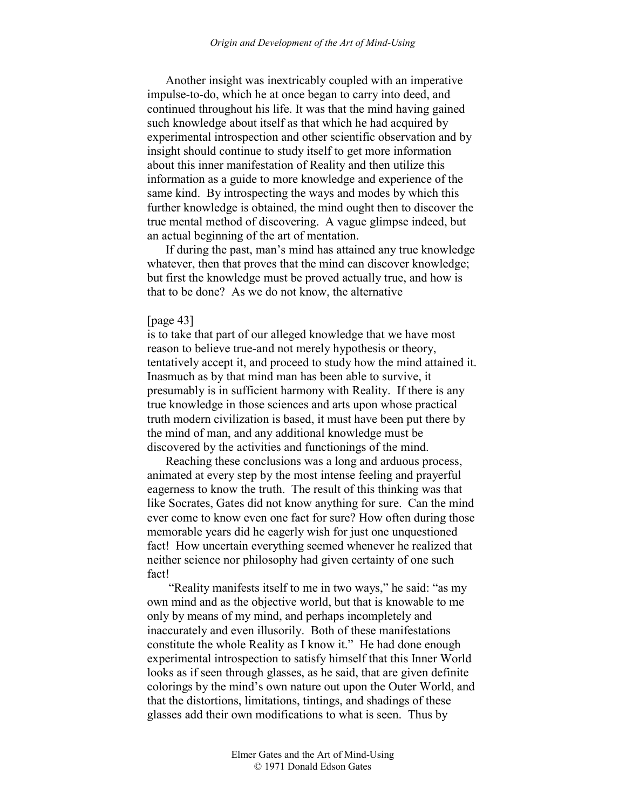Another insight was inextricably coupled with an imperative impulse-to-do, which he at once began to carry into deed, and continued throughout his life. It was that the mind having gained such knowledge about itself as that which he had acquired by experimental introspection and other scientific observation and by insight should continue to study itself to get more information about this inner manifestation of Reality and then utilize this information as a guide to more knowledge and experience of the same kind. By introspecting the ways and modes by which this further knowledge is obtained, the mind ought then to discover the true mental method of discovering. A vague glimpse indeed, but an actual beginning of the art of mentation.

If during the past, man's mind has attained any true knowledge whatever, then that proves that the mind can discover knowledge; but first the knowledge must be proved actually true, and how is that to be done? As we do not know, the alternative

#### [page 43]

is to take that part of our alleged knowledge that we have most reason to believe true-and not merely hypothesis or theory, tentatively accept it, and proceed to study how the mind attained it. Inasmuch as by that mind man has been able to survive, it presumably is in sufficient harmony with Reality. If there is any true knowledge in those sciences and arts upon whose practical truth modern civilization is based, it must have been put there by the mind of man, and any additional knowledge must be discovered by the activities and functionings of the mind.

Reaching these conclusions was a long and arduous process, animated at every step by the most intense feeling and prayerful eagerness to know the truth. The result of this thinking was that like Socrates, Gates did not know anything for sure. Can the mind ever come to know even one fact for sure? How often during those memorable years did he eagerly wish for just one unquestioned fact! How uncertain everything seemed whenever he realized that neither science nor philosophy had given certainty of one such fact!

 "Reality manifests itself to me in two ways," he said: "as my own mind and as the objective world, but that is knowable to me only by means of my mind, and perhaps incompletely and inaccurately and even illusorily. Both of these manifestations constitute the whole Reality as I know it." He had done enough experimental introspection to satisfy himself that this Inner World looks as if seen through glasses, as he said, that are given definite colorings by the mind's own nature out upon the Outer World, and that the distortions, limitations, tintings, and shadings of these glasses add their own modifications to what is seen. Thus by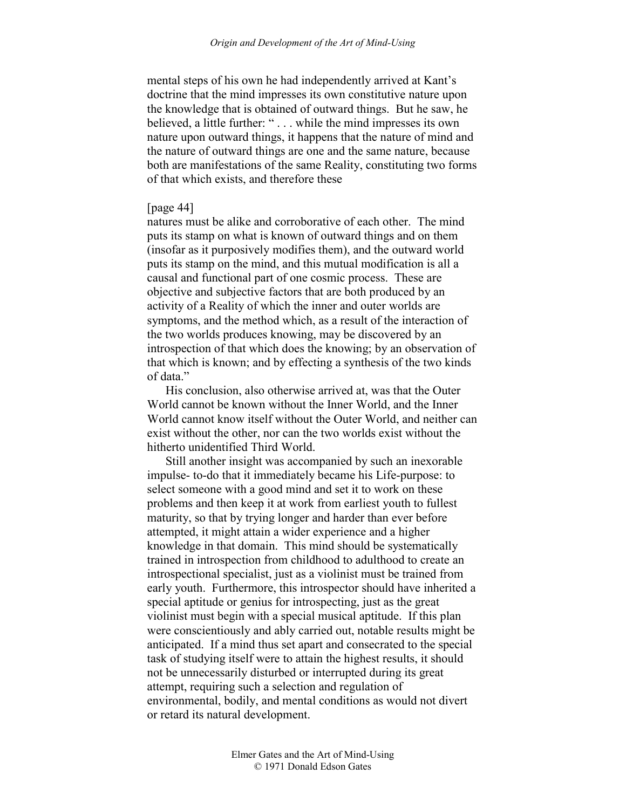mental steps of his own he had independently arrived at Kant's doctrine that the mind impresses its own constitutive nature upon the knowledge that is obtained of outward things. But he saw, he believed, a little further: " . . . while the mind impresses its own nature upon outward things, it happens that the nature of mind and the nature of outward things are one and the same nature, because both are manifestations of the same Reality, constituting two forms of that which exists, and therefore these

### [page 44]

natures must be alike and corroborative of each other. The mind puts its stamp on what is known of outward things and on them (insofar as it purposively modifies them), and the outward world puts its stamp on the mind, and this mutual modification is all a causal and functional part of one cosmic process. These are objective and subjective factors that are both produced by an activity of a Reality of which the inner and outer worlds are symptoms, and the method which, as a result of the interaction of the two worlds produces knowing, may be discovered by an introspection of that which does the knowing; by an observation of that which is known; and by effecting a synthesis of the two kinds of data."

His conclusion, also otherwise arrived at, was that the Outer World cannot be known without the Inner World, and the Inner World cannot know itself without the Outer World, and neither can exist without the other, nor can the two worlds exist without the hitherto unidentified Third World.

Still another insight was accompanied by such an inexorable impulse- to-do that it immediately became his Life-purpose: to select someone with a good mind and set it to work on these problems and then keep it at work from earliest youth to fullest maturity, so that by trying longer and harder than ever before attempted, it might attain a wider experience and a higher knowledge in that domain. This mind should be systematically trained in introspection from childhood to adulthood to create an introspectional specialist, just as a violinist must be trained from early youth. Furthermore, this introspector should have inherited a special aptitude or genius for introspecting, just as the great violinist must begin with a special musical aptitude. If this plan were conscientiously and ably carried out, notable results might be anticipated. If a mind thus set apart and consecrated to the special task of studying itself were to attain the highest results, it should not be unnecessarily disturbed or interrupted during its great attempt, requiring such a selection and regulation of environmental, bodily, and mental conditions as would not divert or retard its natural development.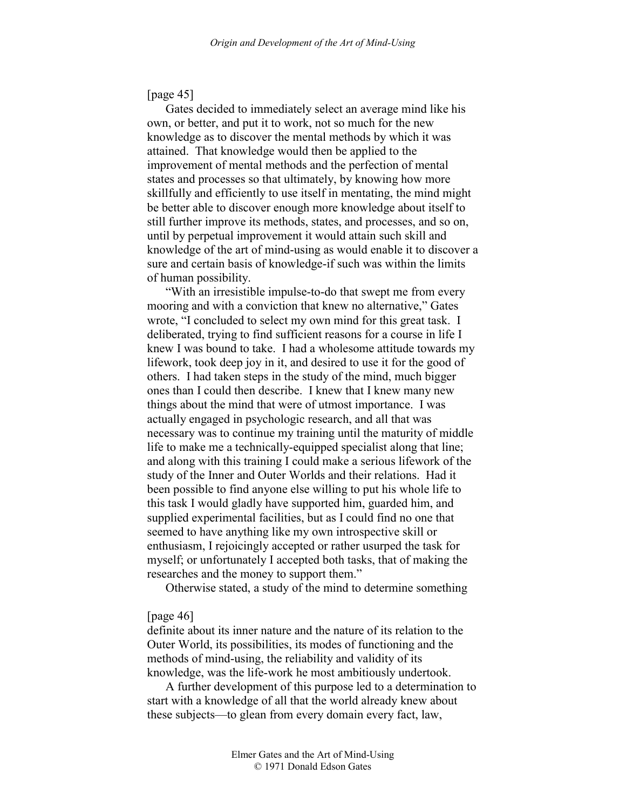# [page 45]

Gates decided to immediately select an average mind like his own, or better, and put it to work, not so much for the new knowledge as to discover the mental methods by which it was attained. That knowledge would then be applied to the improvement of mental methods and the perfection of mental states and processes so that ultimately, by knowing how more skillfully and efficiently to use itself in mentating, the mind might be better able to discover enough more knowledge about itself to still further improve its methods, states, and processes, and so on, until by perpetual improvement it would attain such skill and knowledge of the art of mind-using as would enable it to discover a sure and certain basis of knowledge-if such was within the limits of human possibility.

"With an irresistible impulse-to-do that swept me from every mooring and with a conviction that knew no alternative," Gates wrote, "I concluded to select my own mind for this great task. I deliberated, trying to find sufficient reasons for a course in life I knew I was bound to take. I had a wholesome attitude towards my lifework, took deep joy in it, and desired to use it for the good of others. I had taken steps in the study of the mind, much bigger ones than I could then describe. I knew that I knew many new things about the mind that were of utmost importance. I was actually engaged in psychologic research, and all that was necessary was to continue my training until the maturity of middle life to make me a technically-equipped specialist along that line; and along with this training I could make a serious lifework of the study of the Inner and Outer Worlds and their relations. Had it been possible to find anyone else willing to put his whole life to this task I would gladly have supported him, guarded him, and supplied experimental facilities, but as I could find no one that seemed to have anything like my own introspective skill or enthusiasm, I rejoicingly accepted or rather usurped the task for myself; or unfortunately I accepted both tasks, that of making the researches and the money to support them."

Otherwise stated, a study of the mind to determine something

### [page 46]

definite about its inner nature and the nature of its relation to the Outer World, its possibilities, its modes of functioning and the methods of mind-using, the reliability and validity of its knowledge, was the life-work he most ambitiously undertook.

A further development of this purpose led to a determination to start with a knowledge of all that the world already knew about these subjects—to glean from every domain every fact, law,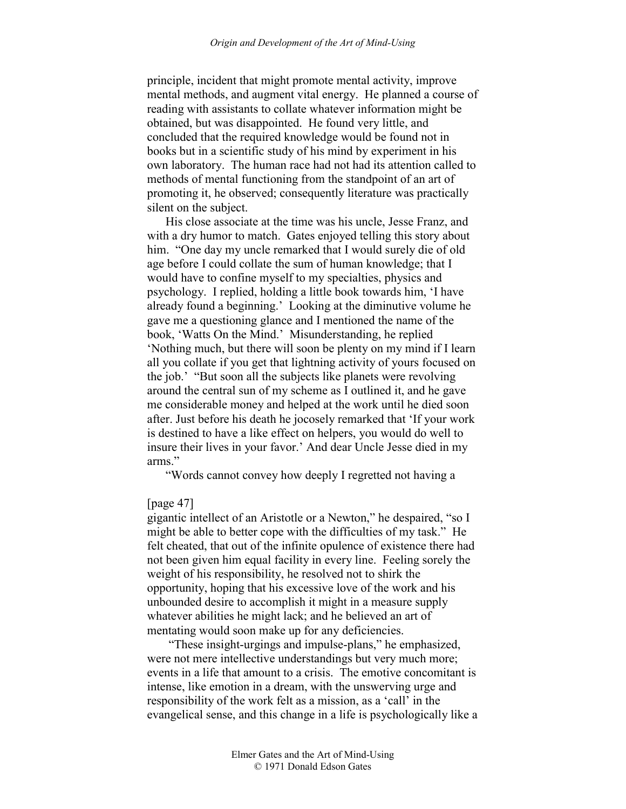principle, incident that might promote mental activity, improve mental methods, and augment vital energy. He planned a course of reading with assistants to collate whatever information might be obtained, but was disappointed. He found very little, and concluded that the required knowledge would be found not in books but in a scientific study of his mind by experiment in his own laboratory. The human race had not had its attention called to methods of mental functioning from the standpoint of an art of promoting it, he observed; consequently literature was practically silent on the subject.

His close associate at the time was his uncle, Jesse Franz, and with a dry humor to match. Gates enjoyed telling this story about him. "One day my uncle remarked that I would surely die of old age before I could collate the sum of human knowledge; that I would have to confine myself to my specialties, physics and psychology. I replied, holding a little book towards him, 'I have already found a beginning.' Looking at the diminutive volume he gave me a questioning glance and I mentioned the name of the book, 'Watts On the Mind.' Misunderstanding, he replied 'Nothing much, but there will soon be plenty on my mind if I learn all you collate if you get that lightning activity of yours focused on the job.' "But soon all the subjects like planets were revolving around the central sun of my scheme as I outlined it, and he gave me considerable money and helped at the work until he died soon after. Just before his death he jocosely remarked that 'If your work is destined to have a like effect on helpers, you would do well to insure their lives in your favor.' And dear Uncle Jesse died in my arms."

"Words cannot convey how deeply I regretted not having a

### [page 47]

gigantic intellect of an Aristotle or a Newton," he despaired, "so I might be able to better cope with the difficulties of my task." He felt cheated, that out of the infinite opulence of existence there had not been given him equal facility in every line. Feeling sorely the weight of his responsibility, he resolved not to shirk the opportunity, hoping that his excessive love of the work and his unbounded desire to accomplish it might in a measure supply whatever abilities he might lack; and he believed an art of mentating would soon make up for any deficiencies.

 "These insight-urgings and impulse-plans," he emphasized, were not mere intellective understandings but very much more; events in a life that amount to a crisis. The emotive concomitant is intense, like emotion in a dream, with the unswerving urge and responsibility of the work felt as a mission, as a 'call' in the evangelical sense, and this change in a life is psychologically like a